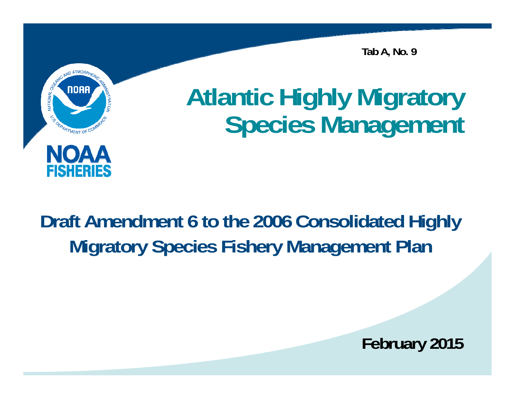**Tab A, No. 9**



# **Atlantic Highly Migratory Species Management**

### **Draft Amendment 6 to the 2006 Consolidated Highly Migratory Species Fishery Management Plan**

**February 2015**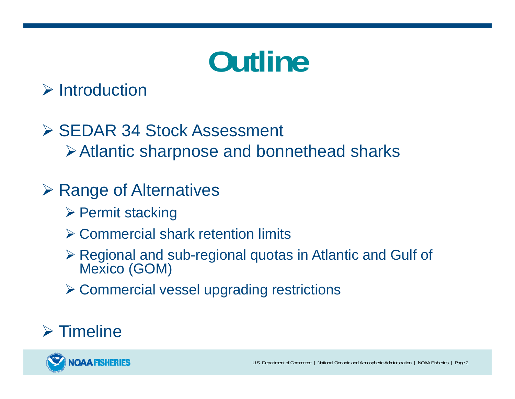# **Outline**

#### $\triangleright$  Introduction

#### **≻ SEDAR 34 Stock Assessment** Atlantic sharpnose and bonnethead sharks

#### **≻ Range of Alternatives**

- **▶ Permit stacking**
- Commercial shark retention limits
- Regional and sub-regional quotas in Atlantic and Gulf of Mexico (GOM)
- Commercial vessel upgrading restrictions

#### $\triangleright$  Timeline

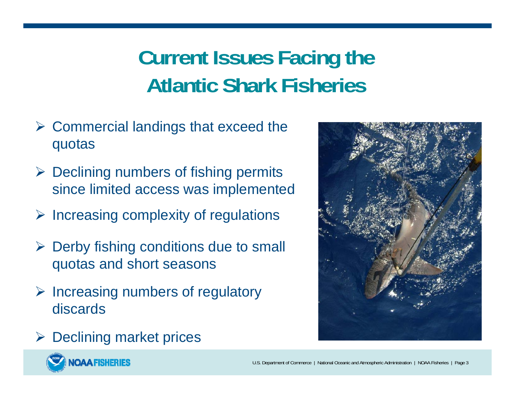### **Current Issues Facing the Atlantic Shark Fisheries**

- $\triangleright$  Commercial landings that exceed the quotas
- $\triangleright$  Declining numbers of fishing permits since limited access was implemented
- $\triangleright$  Increasing complexity of regulations
- $\triangleright$  Derby fishing conditions due to small quotas and short seasons
- $\triangleright$  Increasing numbers of regulatory discards



 $\triangleright$  Declining market prices

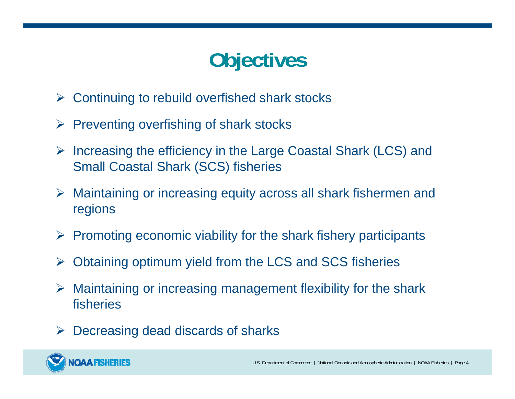### **Objectives**

- $\blacktriangleright$ Continuing to rebuild overfished shark stocks
- $\blacktriangleright$ Preventing overfishing of shark stocks
- $\triangleright$  Increasing the efficiency in the Large Coastal Shark (LCS) and Small Coastal Shark (SCS) fisheries
- Maintaining or increasing equity across all shark fishermen and regions
- $\triangleright$  Promoting economic viability for the shark fishery participants
- $\blacktriangleright$ Obtaining optimum yield from the LCS and SCS fisheries
- $\blacktriangleright$  Maintaining or increasing management flexibility for the shark fisheries
- $\blacktriangleright$ Decreasing dead discards of sharks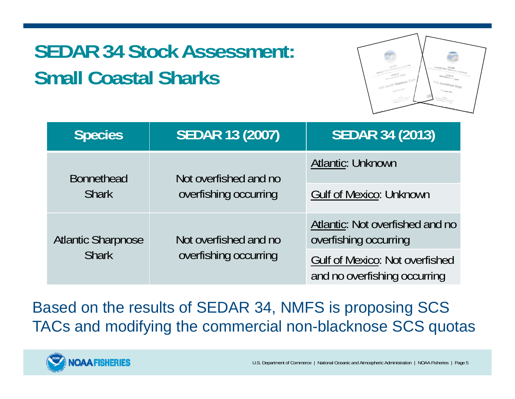### **SEDAR 34 Stock Assessment: Small Coastal Sharks**



| <b>Species</b>                            | <b>SEDAR 13 (2007)</b>                         | <b>SEDAR 34 (2013)</b>                                                |
|-------------------------------------------|------------------------------------------------|-----------------------------------------------------------------------|
| <b>Bonnethead</b><br><b>Shark</b>         | Not overfished and no<br>overfishing occurring | <b>Atlantic: Unknown</b>                                              |
|                                           |                                                | <b>Gulf of Mexico: Unknown</b>                                        |
| <b>Atlantic Sharpnose</b><br><b>Shark</b> | Not overfished and no<br>overfishing occurring | Atlantic: Not overfished and no<br>overfishing occurring              |
|                                           |                                                | <b>Gulf of Mexico: Not overfished</b><br>and no overfishing occurring |

Based on the results of SEDAR 34, NMFS is proposing SCS TACs and modifying the commercial non-blacknose SCS quotas

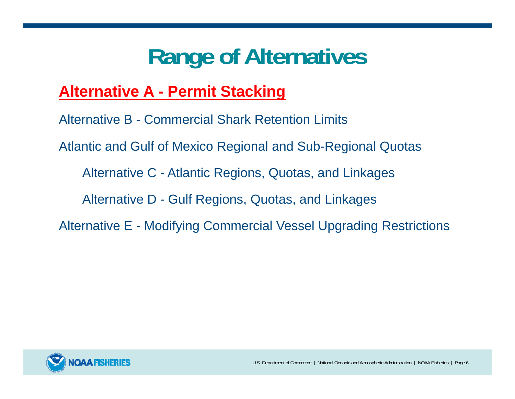#### **Alternative A - Permit Stacking**

Alternative B - Commercial Shark Retention Limits Atlantic and Gulf of Mexico Regional and Sub-Regional Quotas Alternative C - Atlantic Regions, Quotas, and Linkages Alternative D - Gulf Regions, Quotas, and Linkages Alternative E - Modifying Commercial Vessel Upgrading Restrictions

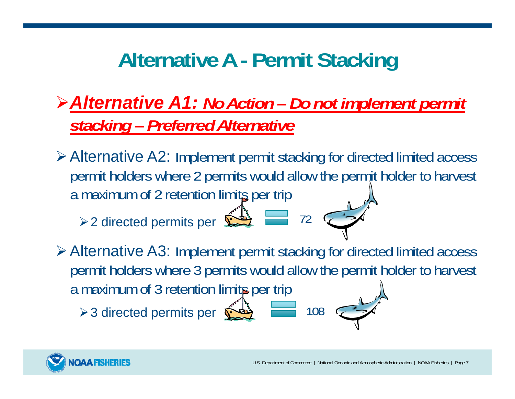### **Alternative A - Permit Stacking**

#### *Alternative A1: No Action – Do not implement permit stacking – Preferred Alternative*

Alternative A2: Implement permit stacking for directed limited access permit holders where 2 permits would allow the permit holder to harvest a maximum of 2 retention limits per trip

72

108

 $\geq 2$  directed permits per  $\sum_{n=1}^{\infty}$ 

Alternative A3: Implement permit stacking for directed limited access permit holders where 3 permits would allow the permit holder to harvest a maximum of 3 retention limits per trip

> 3 directed permits per  $\hat{\mathbf{\Sigma}}$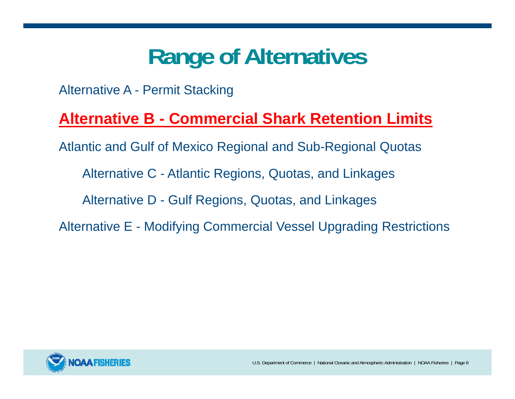Alternative A - Permit Stacking

#### **Alternative B - Commercial Shark Retention Limits**

Atlantic and Gulf of Mexico Regional and Sub-Regional Quotas

Alternative C - Atlantic Regions, Quotas, and Linkages

Alternative D - Gulf Regions, Quotas, and Linkages

Alternative E - Modifying Commercial Vessel Upgrading Restrictions

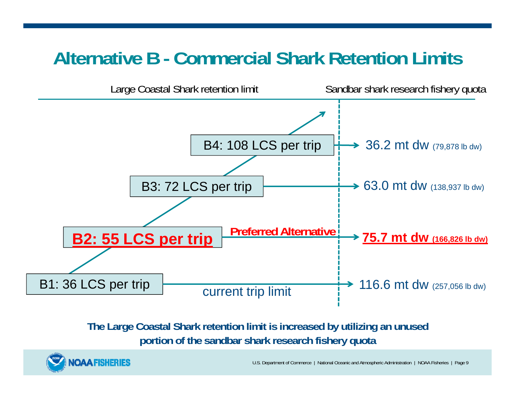#### **Alternative B - Commercial Shark Retention Limits**



#### **The Large Coastal Shark retention limit is increased by utilizing an unused portion of the sandbar shark research fishery quota**



U.S. Department of Commerce | National Oceanic and Atmospheric Administration | NOAA Fisheries | Page 9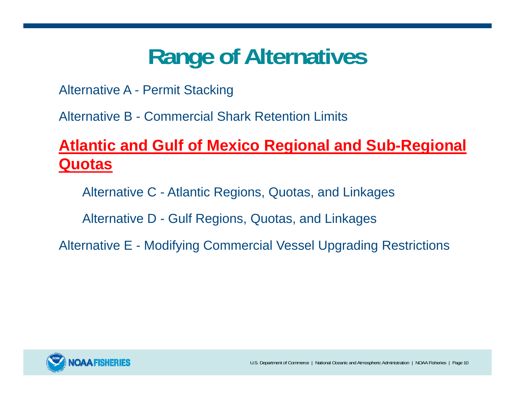Alternative A - Permit Stacking

Alternative B - Commercial Shark Retention Limits

#### **Atlantic and Gulf of Mexico Regional and Sub-Regional Quotas**

Alternative C - Atlantic Regions, Quotas, and Linkages

Alternative D - Gulf Regions, Quotas, and Linkages

Alternative E - Modifying Commercial Vessel Upgrading Restrictions

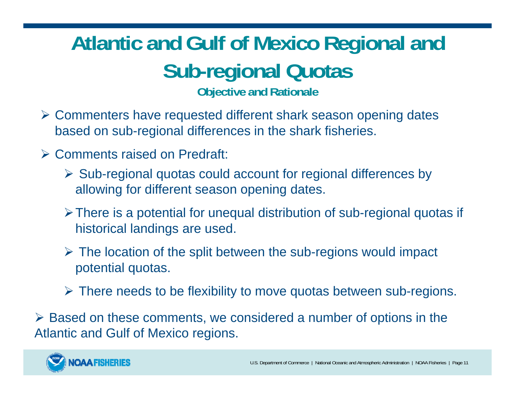### **Atlantic and Gulf of Mexico Regional and Sub-regional Quotas**

**Objective and Rationale**

- Commenters have requested different shark season opening dates based on sub-regional differences in the shark fisheries.
- Comments raised on Predraft:
	- $\triangleright$  Sub-regional quotas could account for regional differences by allowing for different season opening dates.
	- There is a potential for unequal distribution of sub-regional quotas if historical landings are used.
	- The location of the split between the sub-regions would impact potential quotas.
	- There needs to be flexibility to move quotas between sub-regions.

 Based on these comments, we considered a number of options in the Atlantic and Gulf of Mexico regions.

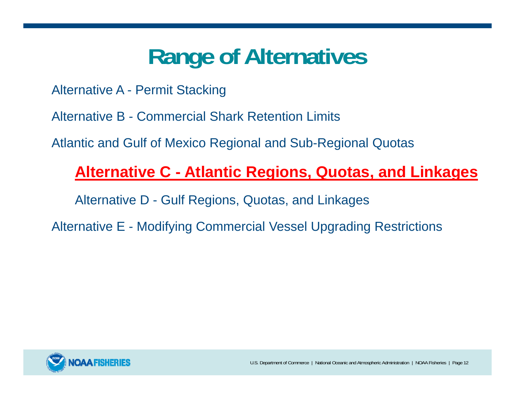Alternative A - Permit Stacking

Alternative B - Commercial Shark Retention Limits

Atlantic and Gulf of Mexico Regional and Sub-Regional Quotas

#### **Alternative C - Atlantic Regions, Quotas, and Linkages**

Alternative D - Gulf Regions, Quotas, and Linkages

Alternative E - Modifying Commercial Vessel Upgrading Restrictions

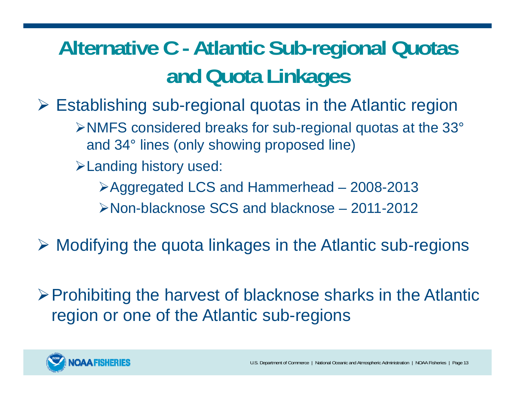### **Alternative C - Atlantic Sub-regional Quotas and Quota Linkages**

Establishing sub-regional quotas in the Atlantic region

NMFS considered breaks for sub-regional quotas at the 33° and 34° lines (only showing proposed line)

Landing history used:

Aggregated LCS and Hammerhead – 2008-2013

Non-blacknose SCS and blacknose – 2011-2012

Modifying the quota linkages in the Atlantic sub-regions

Prohibiting the harvest of blacknose sharks in the Atlantic region or one of the Atlantic sub-regions

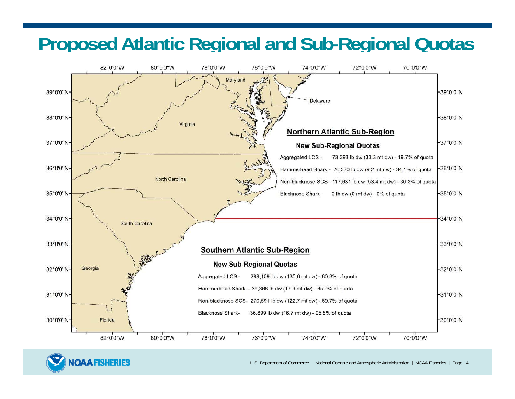#### **Proposed Atlantic Regional and Sub-Regional Quotas**





U.S. Department of Commerce | National Oceanic and Atmospheric Administration | NOAA Fisheries | Page 14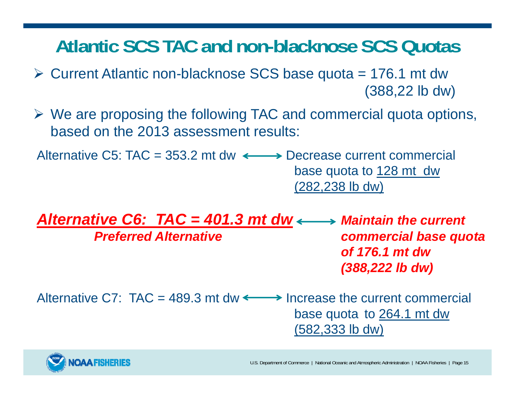#### **Atlantic SCS TAC and non-blacknose SCS Quotas**

- $\triangleright$  Current Atlantic non-blacknose SCS base quota = 176.1 mt dw (388,22 lb dw)
- We are proposing the following TAC and commercial quota options, based on the 2013 assessment results:

Alternative C5: TAC = 353.2 mt dw  $\longleftrightarrow$  Decrease current commercial base quota to 128 mt dw (282,238 lb dw)

*Alternative C6: TAC = 401.3 mt dw*  $\longleftrightarrow$  *Maintain the current Preferred Alternative commercial base quota of 176.1 mt dw (388,222 lb dw)*

Alternative C7:  $TAC = 489.3$  mt dw  $\leftarrow$  > Increase the current commercial base quota to 264.1 mt dw (582,333 lb dw)

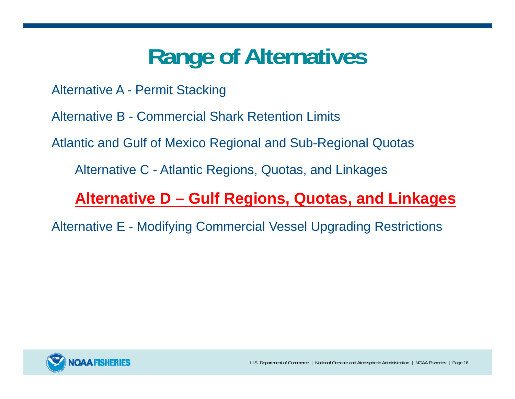Alternative A - Permit Stacking

Alternative B - Commercial Shark Retention Limits

Atlantic and Gulf of Mexico Regional and Sub-Regional Quotas

Alternative C - Atlantic Regions, Quotas, and Linkages

#### **Alternative D – Gulf Regions, Quotas, and Linkages**

Alternative E - Modifying Commercial Vessel Upgrading Restrictions

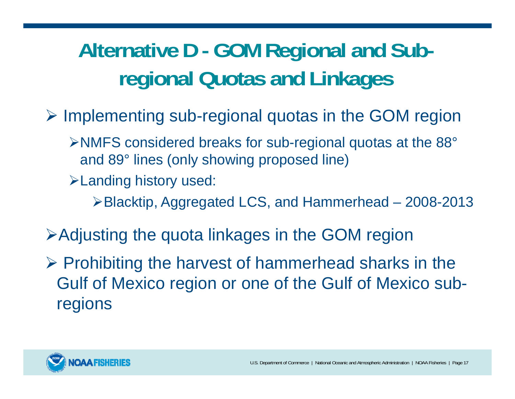### **Alternative D - GOM Regional and Subregional Quotas and Linkages**

- $\triangleright$  Implementing sub-regional quotas in the GOM region
	- NMFS considered breaks for sub-regional quotas at the 88° and 89° lines (only showing proposed line)
	- Landing history used:
		- Blacktip, Aggregated LCS, and Hammerhead 2008-2013
- Adjusting the quota linkages in the GOM region
- $\triangleright$  Prohibiting the harvest of hammerhead sharks in the Gulf of Mexico region or one of the Gulf of Mexico subregions

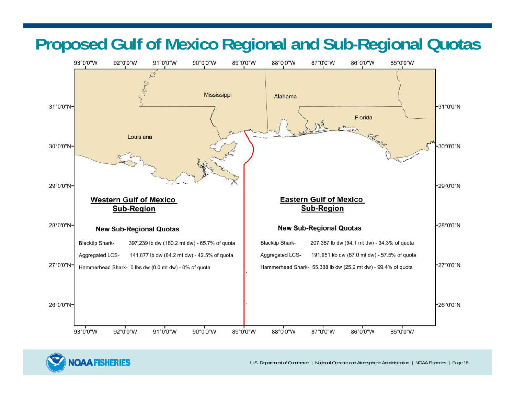#### **Proposed Gulf of Mexico Regional and Sub-Regional Quotas**





U.S. Department of Commerce | National Oceanic and Atmospheric Administration | NOAA Fisheries | Page 18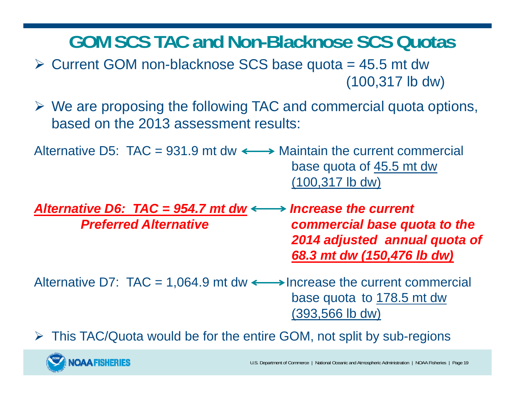**GOM SCS TAC and Non-Blacknose SCS Quotas**

- $\triangleright$  Current GOM non-blacknose SCS base quota = 45.5 mt dw (100,317 lb dw)
- We are proposing the following TAC and commercial quota options, based on the 2013 assessment results:

Alternative D5: TAC = 931.9 mt dw  $\longleftrightarrow$  Maintain the current commercial base quota of 45.5 mt dw (100,317 lb dw)

*Alternative D6: TAC = 954.7 mt dw Increase the current Preferred Alternative commercial base quota to the 2014 adjusted annual quota of 68.3 mt dw (150,476 lb dw)*

Alternative D7:  $TAC = 1,064.9$  mt dw  $\longleftrightarrow$  Increase the current commercial base quota to 178.5 mt dw (393,566 lb dw)

This TAC/Quota would be for the entire GOM, not split by sub-regions

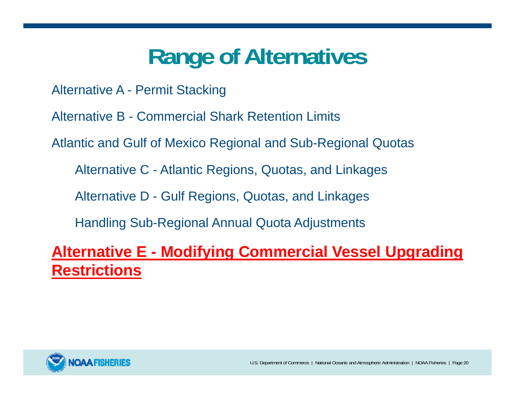Alternative A - Permit Stacking

Alternative B - Commercial Shark Retention Limits

Atlantic and Gulf of Mexico Regional and Sub-Regional Quotas

Alternative C - Atlantic Regions, Quotas, and Linkages

Alternative D - Gulf Regions, Quotas, and Linkages

Handling Sub-Regional Annual Quota Adjustments

**Alternative E - Modifying Commercial Vessel Upgrading Restrictions**

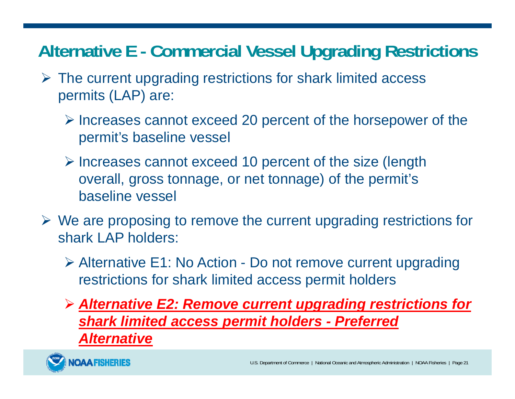#### **Alternative E - Commercial Vessel Upgrading Restrictions**

- $\triangleright$  The current upgrading restrictions for shark limited access permits (LAP) are:
	- $\triangleright$  Increases cannot exceed 20 percent of the horsepower of the permit's baseline vessel
	- $\triangleright$  Increases cannot exceed 10 percent of the size (length overall, gross tonnage, or net tonnage) of the permit's baseline vessel
- $\triangleright$  We are proposing to remove the current upgrading restrictions for shark LAP holders:
	- Alternative E1: No Action Do not remove current upgrading restrictions for shark limited access permit holders
	- *Alternative E2: Remove current upgrading restrictions for shark limited access permit holders - Preferred Alternative*

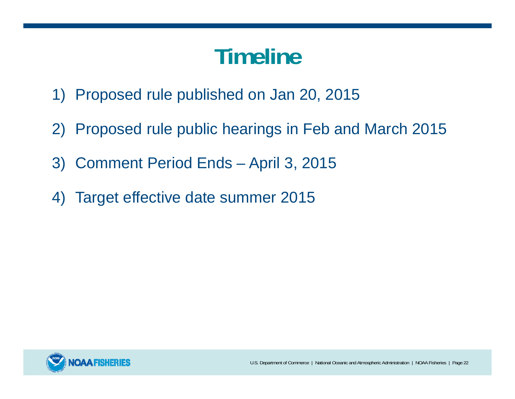# **Timeline**

- 1) Proposed rule published on Jan 20, 2015
- 2) Proposed rule public hearings in Feb and March 2015
- 3) Comment Period Ends April 3, 2015
- 4) Target effective date summer 2015

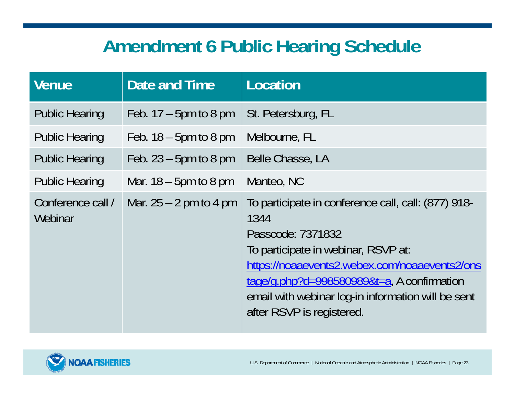### **Amendment 6 Public Hearing Schedule**

| <b>Venue</b>                 | Date and Time            | Location                                                                                                                                                                                                                                                                                                  |
|------------------------------|--------------------------|-----------------------------------------------------------------------------------------------------------------------------------------------------------------------------------------------------------------------------------------------------------------------------------------------------------|
| <b>Public Hearing</b>        | Feb. $17 - 5$ pm to 8 pm | St. Petersburg, FL                                                                                                                                                                                                                                                                                        |
| <b>Public Hearing</b>        | Feb. $18 - 5$ pm to 8 pm | Melbourne, FL                                                                                                                                                                                                                                                                                             |
| <b>Public Hearing</b>        | Feb. $23 - 5$ pm to 8 pm | Belle Chasse, LA                                                                                                                                                                                                                                                                                          |
| <b>Public Hearing</b>        | Mar. $18 - 5$ pm to 8 pm | Manteo, NC                                                                                                                                                                                                                                                                                                |
| Conference call /<br>Webinar | Mar. $25 - 2$ pm to 4 pm | To participate in conference call, call: (877) 918-<br>1344<br>Passcode: 7371832<br>To participate in webinar, RSVP at:<br>https://noaaevents2.webex.com/noaaevents2/ons<br>tage/g.php?d=998580989&t=a, A confirmation<br>email with webinar log-in information will be sent<br>after RSVP is registered. |

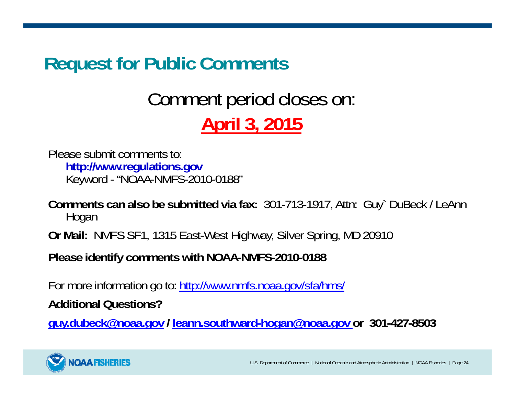#### **Request for Public Comments**

### Comment period closes on: **April 3, 2015**

Please submit comments to:**http://www.regulations.gov** Keyword - "NOAA-NMFS-2010-0188"

**Comments can also be submitted via fax:** 301-713-1917, Attn: Guy` DuBeck / LeAnn Hogan

**Or Mail:** NMFS SF1, 1315 East-West Highway, Silver Spring, MD 20910

**Please identify comments with NOAA-NMFS-2010-0188**

For more information go to: http://www.nmfs.noaa.gov/sfa/hms/

**Additional Questions?**

**guy.dubeck@noaa.gov / leann.southward-hogan@noaa.gov or 301-427-8503**

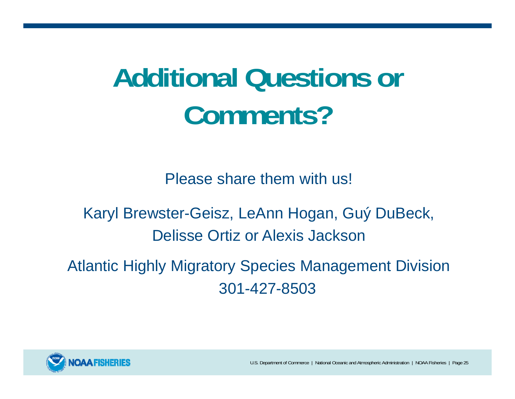# **Additional Questions or Comments?**

Please share them with us!

Karyl Brewster-Geisz, LeAnn Hogan, Guý DuBeck, Delisse Ortiz or Alexis Jackson

Atlantic Highly Migratory Species Management Division 301-427-8503



U.S. Department of Commerce | National Oceanic and Atmospheric Administration | NOAA Fisheries | Page 25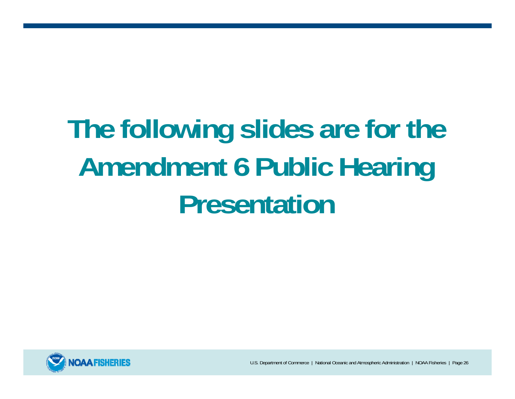# **The following slides are for the Amendment 6 Public Hearing Presentation**



U.S. Department of Commerce | National Oceanic and Atmospheric Administration | NOAA Fisheries | Page 26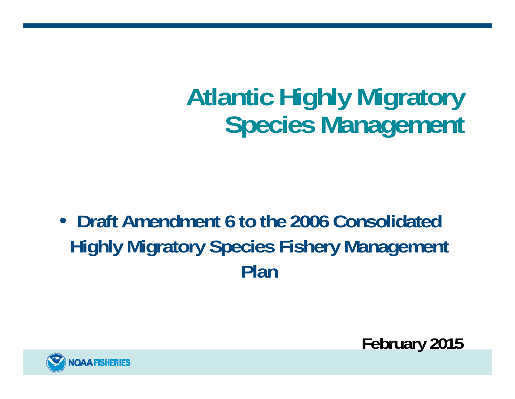# **Atlantic Highly Migratory Species Management**

• **Draft Amendment 6 to the 2006 Consolidated Highly Migratory Species Fishery Management Plan** 



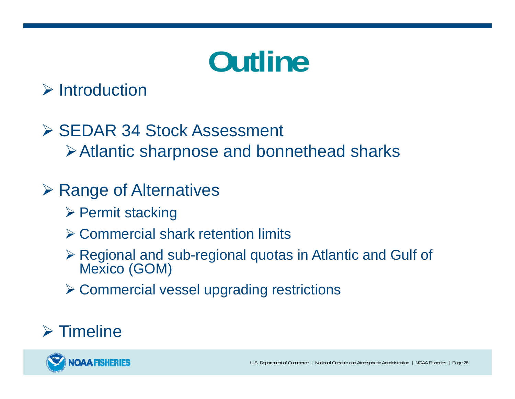# **Outline**

#### $\triangleright$  Introduction

#### **≻ SEDAR 34 Stock Assessment** Atlantic sharpnose and bonnethead sharks

#### **≻ Range of Alternatives**

- **▶ Permit stacking**
- Commercial shark retention limits
- Regional and sub-regional quotas in Atlantic and Gulf of Mexico (GOM)
- Commercial vessel upgrading restrictions

#### $\triangleright$  Timeline

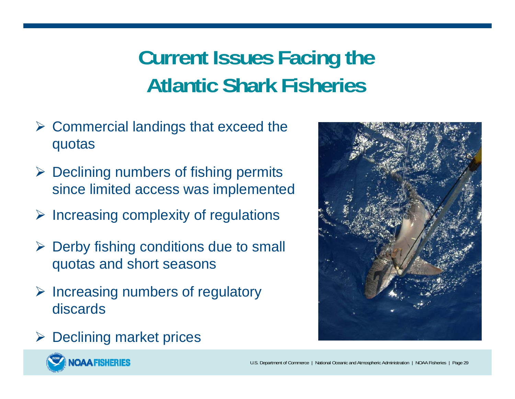### **Current Issues Facing the Atlantic Shark Fisheries**

- $\triangleright$  Commercial landings that exceed the quotas
- $\triangleright$  Declining numbers of fishing permits since limited access was implemented
- $\triangleright$  Increasing complexity of regulations
- $\triangleright$  Derby fishing conditions due to small quotas and short seasons
- $\triangleright$  Increasing numbers of regulatory discards



 $\triangleright$  Declining market prices

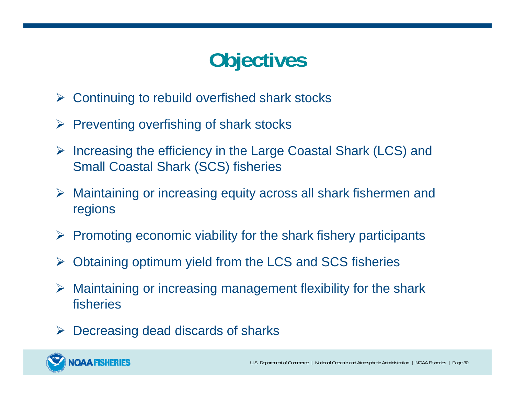### **Objectives**

- $\blacktriangleright$ Continuing to rebuild overfished shark stocks
- $\blacktriangleright$ Preventing overfishing of shark stocks
- $\triangleright$  Increasing the efficiency in the Large Coastal Shark (LCS) and Small Coastal Shark (SCS) fisheries
- Maintaining or increasing equity across all shark fishermen and regions
- $\triangleright$  Promoting economic viability for the shark fishery participants
- $\blacktriangleright$ Obtaining optimum yield from the LCS and SCS fisheries
- $\blacktriangleright$  Maintaining or increasing management flexibility for the shark fisheries
- $\blacktriangleright$ Decreasing dead discards of sharks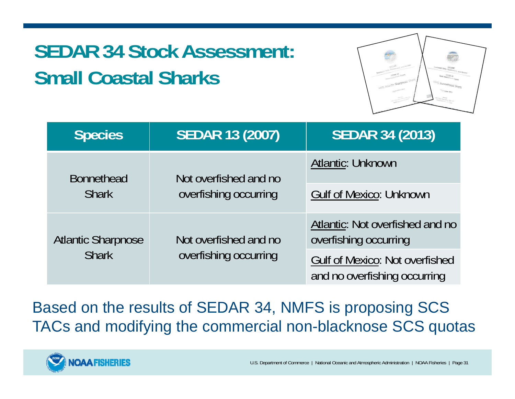### **SEDAR 34 Stock Assessment: Small Coastal Sharks**



| <b>Species</b>                            | <b>SEDAR 13 (2007)</b>                         | <b>SEDAR 34 (2013)</b>                                                |
|-------------------------------------------|------------------------------------------------|-----------------------------------------------------------------------|
| <b>Bonnethead</b><br><b>Shark</b>         | Not overfished and no<br>overfishing occurring | <b>Atlantic: Unknown</b>                                              |
|                                           |                                                | <b>Gulf of Mexico: Unknown</b>                                        |
| <b>Atlantic Sharpnose</b><br><b>Shark</b> | Not overfished and no<br>overfishing occurring | Atlantic: Not overfished and no<br>overfishing occurring              |
|                                           |                                                | <b>Gulf of Mexico: Not overfished</b><br>and no overfishing occurring |

Based on the results of SEDAR 34, NMFS is proposing SCS TACs and modifying the commercial non-blacknose SCS quotas

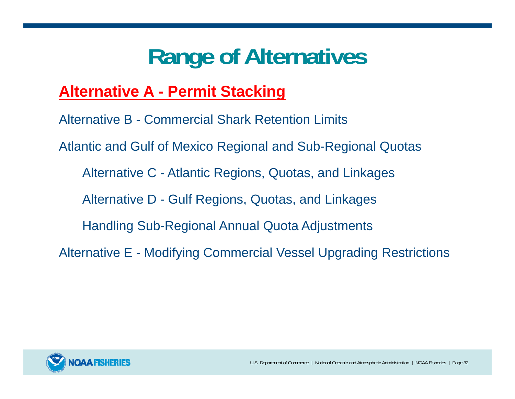#### **Alternative A - Permit Stacking**

Alternative B - Commercial Shark Retention Limits Atlantic and Gulf of Mexico Regional and Sub-Regional Quotas Alternative C - Atlantic Regions, Quotas, and Linkages Alternative D - Gulf Regions, Quotas, and Linkages Handling Sub-Regional Annual Quota Adjustments Alternative E - Modifying Commercial Vessel Upgrading Restrictions

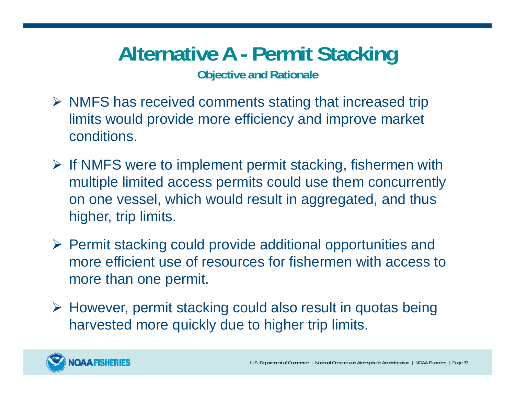### **Alternative A - Permit Stacking**

**Objective and Rationale**

- $\triangleright$  NMFS has received comments stating that increased trip limits would provide more efficiency and improve market conditions.
- $\triangleright$  If NMFS were to implement permit stacking, fishermen with multiple limited access permits could use them concurrently on one vessel, which would result in aggregated, and thus higher, trip limits.
- $\triangleright$  Permit stacking could provide additional opportunities and more efficient use of resources for fishermen with access to more than one permit.
- However, permit stacking could also result in quotas being harvested more quickly due to higher trip limits.

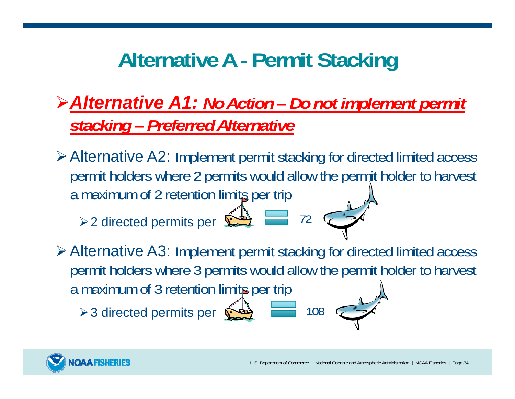### **Alternative A - Permit Stacking**

#### *Alternative A1: No Action – Do not implement permit stacking – Preferred Alternative*

Alternative A2: Implement permit stacking for directed limited access permit holders where 2 permits would allow the permit holder to harvest a maximum of 2 retention limits per trip

72

108

> 2 directed permits per

Alternative A3: Implement permit stacking for directed limited access permit holders where 3 permits would allow the permit holder to harvest a maximum of 3 retention limits per trip

> 3 directed permits per  $\hat{\mathbf{\Sigma}}$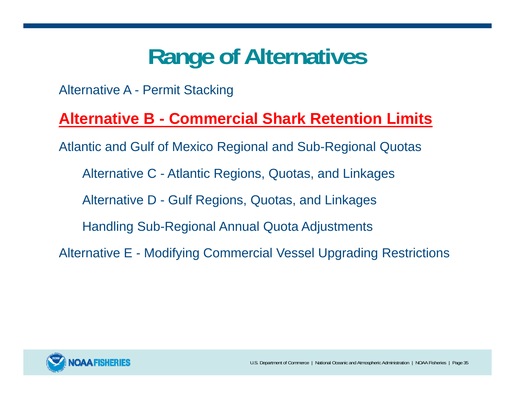Alternative A - Permit Stacking

#### **Alternative B - Commercial Shark Retention Limits**

Atlantic and Gulf of Mexico Regional and Sub-Regional Quotas

Alternative C - Atlantic Regions, Quotas, and Linkages

Alternative D - Gulf Regions, Quotas, and Linkages

Handling Sub-Regional Annual Quota Adjustments

Alternative E - Modifying Commercial Vessel Upgrading Restrictions

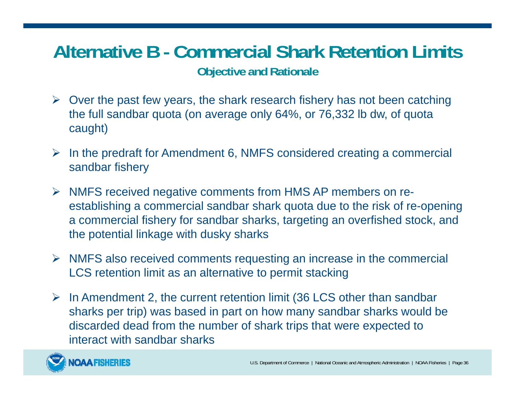#### **Alternative B - Commercial Shark Retention Limits Objective and Rationale**

- $\triangleright$  Over the past few years, the shark research fishery has not been catching the full sandbar quota (on average only 64%, or 76,332 lb dw, of quota caught)
- $\triangleright$  In the predraft for Amendment 6, NMFS considered creating a commercial sandbar fishery
- NMFS received negative comments from HMS AP members on reestablishing a commercial sandbar shark quota due to the risk of re-opening a commercial fishery for sandbar sharks, targeting an overfished stock, and the potential linkage with dusky sharks
- $\triangleright$  NMFS also received comments requesting an increase in the commercial LCS retention limit as an alternative to permit stacking
- $\triangleright$  In Amendment 2, the current retention limit (36 LCS other than sandbar sharks per trip) was based in part on how many sandbar sharks would be discarded dead from the number of shark trips that were expected to interact with sandbar sharks

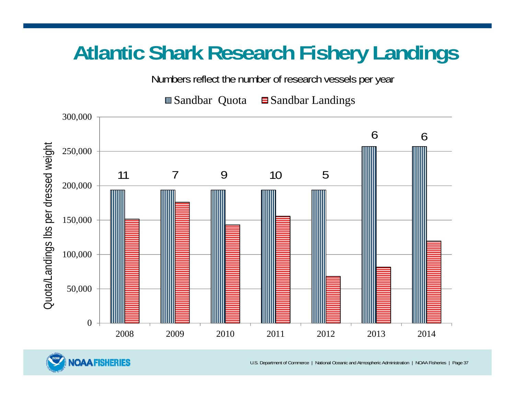## **Atlantic Shark Research Fishery Landings**

Numbers reflect the number of research vessels per year

 $\Box$  Sandbar Quota  $\Box$  Sandbar Landings



**NOAA FISHERIES** 

U.S. Department of Commerce | National Oceanic and Atmospheric Administration | NOAA Fisheries | Page 37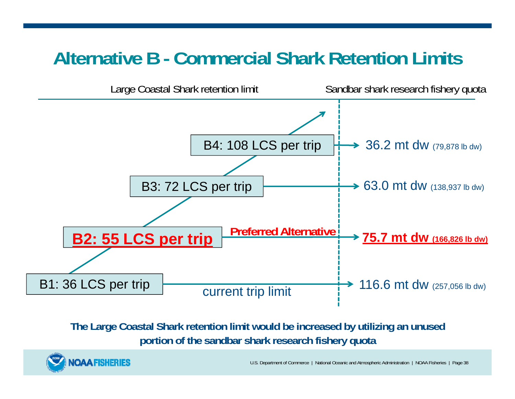### **Alternative B - Commercial Shark Retention Limits**



**The Large Coastal Shark retention limit would be increased by utilizing an unused portion of the sandbar shark research fishery quota**



U.S. Department of Commerce | National Oceanic and Atmospheric Administration | NOAA Fisheries | Page 38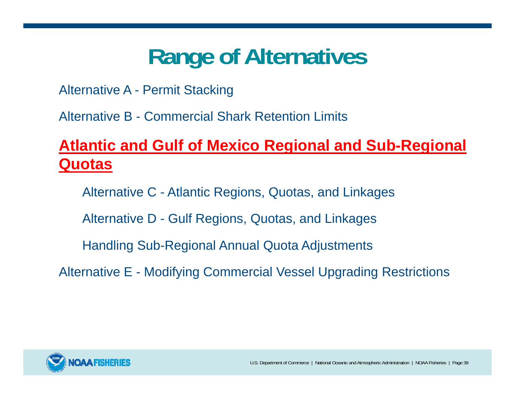# **Range of Alternatives**

Alternative A - Permit Stacking

Alternative B - Commercial Shark Retention Limits

#### **Atlantic and Gulf of Mexico Regional and Sub-Regional Quotas**

Alternative C - Atlantic Regions, Quotas, and Linkages

Alternative D - Gulf Regions, Quotas, and Linkages

Handling Sub-Regional Annual Quota Adjustments

Alternative E - Modifying Commercial Vessel Upgrading Restrictions

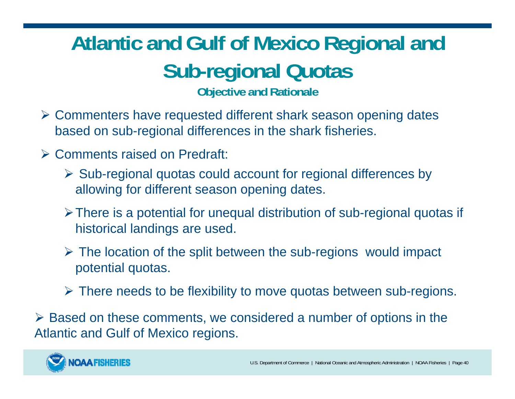## **Atlantic and Gulf of Mexico Regional and Sub-regional Quotas**

**Objective and Rationale**

- Commenters have requested different shark season opening dates based on sub-regional differences in the shark fisheries.
- Comments raised on Predraft:
	- $\triangleright$  Sub-regional quotas could account for regional differences by allowing for different season opening dates.
	- There is a potential for unequal distribution of sub-regional quotas if historical landings are used.
	- The location of the split between the sub-regions would impact potential quotas.
	- There needs to be flexibility to move quotas between sub-regions.

 Based on these comments, we considered a number of options in the Atlantic and Gulf of Mexico regions.

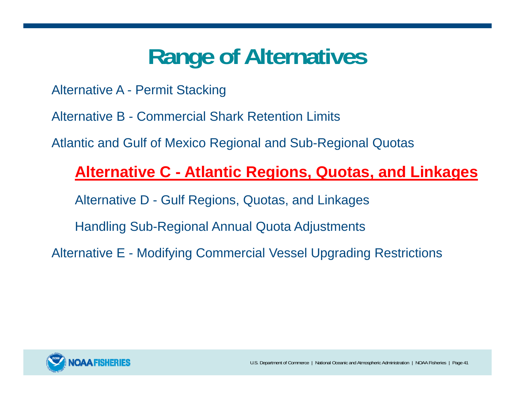# **Range of Alternatives**

Alternative A - Permit Stacking

Alternative B - Commercial Shark Retention Limits

Atlantic and Gulf of Mexico Regional and Sub-Regional Quotas

#### **Alternative C - Atlantic Regions, Quotas, and Linkages**

Alternative D - Gulf Regions, Quotas, and Linkages

Handling Sub-Regional Annual Quota Adjustments

Alternative E - Modifying Commercial Vessel Upgrading Restrictions

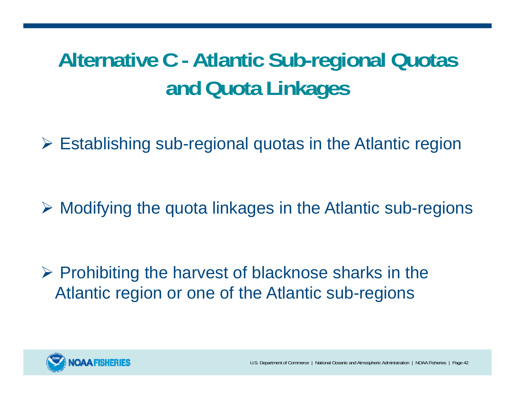## **Alternative C - Atlantic Sub-regional Quotas and Quota Linkages**

Establishing sub-regional quotas in the Atlantic region

Modifying the quota linkages in the Atlantic sub-regions

 $\triangleright$  Prohibiting the harvest of blacknose sharks in the Atlantic region or one of the Atlantic sub-regions

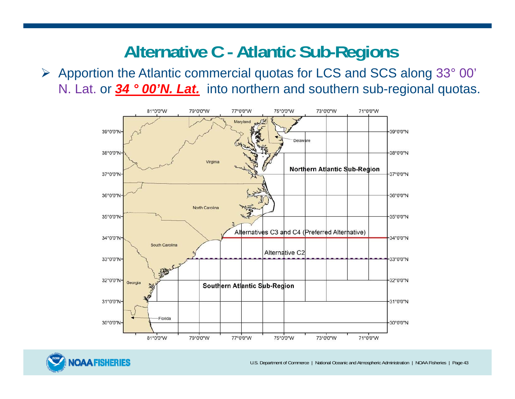### **Alternative C - Atlantic Sub-Regions**

 Apportion the Atlantic commercial quotas for LCS and SCS along 33° 00' N. Lat. or **34 ° 00'N. Lat.** into northern and southern sub-regional quotas.





U.S. Department of Commerce | National Oceanic and Atmospheric Administration | NOAA Fisheries | Page 43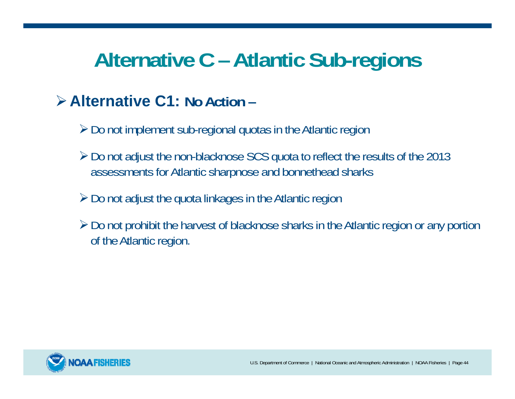## **Alternative C – Atlantic Sub-regions**

#### **Alternative C1: No Action –**

- Do not implement sub-regional quotas in the Atlantic region
- Do not adjust the non-blacknose SCS quota to reflect the results of the 2013 assessments for Atlantic sharpnose and bonnethead sharks
- $\geq$  Do not adjust the quota linkages in the Atlantic region
- $\triangleright$  Do not prohibit the harvest of blacknose sharks in the Atlantic region or any portion of the Atlantic region.

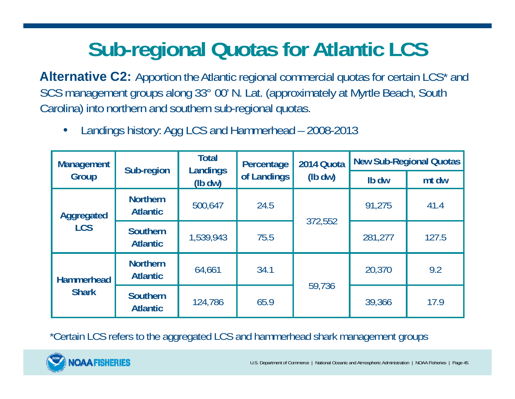## **Sub-regional Quotas for Atlantic LCS**

**Alternative C2:** Apportion the Atlantic regional commercial quotas for certain LCS<sup>\*</sup> and SCS management groups along 33° 00' N. Lat. (approximately at Myrtle Beach, South Carolina) into northern and southern sub-regional quotas.

| <b>Management</b><br>Group        | Sub-region                         | <b>Total</b> | Percentage<br>Landings<br>of Landings<br>$(lb\,dw)$ | 2014 Quota  | <b>New Sub-Regional Quotas</b> |       |
|-----------------------------------|------------------------------------|--------------|-----------------------------------------------------|-------------|--------------------------------|-------|
|                                   |                                    |              |                                                     | $(lb\, dw)$ | Ib dw                          | mt dw |
| Aggregated<br><b>LCS</b>          | <b>Northern</b><br><b>Atlantic</b> | 500,647      | 24.5                                                | 372,552     | 91,275                         | 41.4  |
|                                   | <b>Southern</b><br><b>Atlantic</b> | 1,539,943    | 75.5                                                |             | 281,277                        | 127.5 |
| <b>Hammerhead</b><br><b>Shark</b> | <b>Northern</b><br><b>Atlantic</b> | 64,661       | 34.1                                                | 59,736      | 20,370                         | 9.2   |
|                                   | <b>Southern</b><br><b>Atlantic</b> | 124,786      | 65.9                                                |             | 39,366                         | 17.9  |

•Landings history: Agg LCS and Hammerhead – 2008-2013

\*Certain LCS refers to the aggregated LCS and hammerhead shark management groups

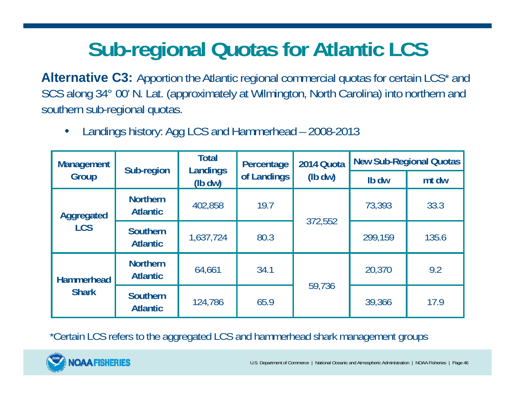## **Sub-regional Quotas for Atlantic LCS**

**Alternative C3:** Apportion the Atlantic regional commercial quotas for certain LCS<sup>\*</sup> and SCS along 34° 00' N. Lat. (approximately at Wilmington, North Carolina) into northern and southern sub-regional quotas.

| <b>Management</b><br>Group        | Sub-region                         | <b>Total</b><br>Percentage<br>Landings<br>of Landings<br>$(lb\, dw)$ | 2014 Quota | <b>New Sub-Regional Quotas</b> |         |       |
|-----------------------------------|------------------------------------|----------------------------------------------------------------------|------------|--------------------------------|---------|-------|
|                                   |                                    |                                                                      | $(lb\,dw)$ | Ib dw                          | mt dw   |       |
| Aggregated<br><b>LCS</b>          | <b>Northern</b><br><b>Atlantic</b> | 402,858                                                              | 19.7       | 372,552                        | 73,393  | 33.3  |
|                                   | <b>Southern</b><br><b>Atlantic</b> | 1,637,724                                                            | 80.3       |                                | 299,159 | 135.6 |
| <b>Hammerhead</b><br><b>Shark</b> | <b>Northern</b><br><b>Atlantic</b> | 64,661                                                               | 34.1       | 59,736                         | 20,370  | 9.2   |
|                                   | <b>Southern</b><br><b>Atlantic</b> | 124,786                                                              | 65.9       |                                | 39,366  | 17.9  |

 $\bullet$ Landings history: Agg LCS and Hammerhead – 2008-2013

\*Certain LCS refers to the aggregated LCS and hammerhead shark management groups

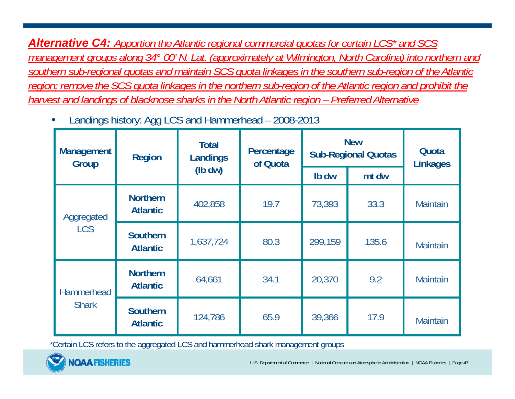*Alternative C4: Apportion the Atlantic regional commercial quotas for certain LCS\* and SCS management groups along 34° 00' N. Lat. (approximately at Wilmington, North Carolina) into northern and southern sub-regional quotas and maintain SCS quota linkages in the southern sub-region of the Atlantic region; remove the SCS quota linkages in the northern sub-region of the Atlantic region and prohibit the harvest and landings of blacknose sharks in the North Atlantic region – Preferred Alternative* 

•Landings history: Agg LCS and Hammerhead – 2008-2013

| <b>Management</b><br>Group | <b>Region</b>                      | <b>Total</b><br>Percentage<br>Landings<br>of Quota |      | <b>New</b><br><b>Sub-Regional Quotas</b> | Quota<br><b>Linkages</b> |                 |
|----------------------------|------------------------------------|----------------------------------------------------|------|------------------------------------------|--------------------------|-----------------|
|                            |                                    | $(lb\,dw)$                                         |      | Ib dw                                    | mt dw                    |                 |
| Aggregated<br><b>LCS</b>   | <b>Northern</b><br><b>Atlantic</b> | 402,858                                            | 19.7 | 73,393                                   | 33.3                     | <b>Maintain</b> |
|                            | <b>Southern</b><br><b>Atlantic</b> | 1,637,724                                          | 80.3 | 299,159                                  | 135.6                    | <b>Maintain</b> |
| Hammerhead<br><b>Shark</b> | <b>Northern</b><br><b>Atlantic</b> | 64,661                                             | 34.1 | 20,370                                   | 9.2                      | <b>Maintain</b> |
|                            | <b>Southern</b><br><b>Atlantic</b> | 124,786                                            | 65.9 | 39,366                                   | 17.9                     | <b>Maintain</b> |

\*Certain LCS refers to the aggregated LCS and hammerhead shark management groups

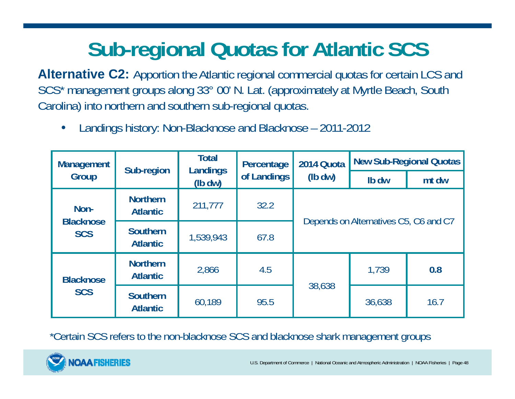## **Sub-regional Quotas for Atlantic SCS**

**Alternative C2:** Apportion the Atlantic regional commercial quotas for certain LCS and SCS\* management groups along 33° 00' N. Lat. (approximately at Myrtle Beach, South Carolina) into northern and southern sub-regional quotas.

•Landings history: Non-Blacknose and Blacknose – 2011-2012

| <b>Management</b>              | Sub-region                         | <b>Total</b><br><b>Landings</b><br>$(lb\,dw)$ | Percentage  | 2014 Quota                            | <b>New Sub-Regional Quotas</b> |       |  |
|--------------------------------|------------------------------------|-----------------------------------------------|-------------|---------------------------------------|--------------------------------|-------|--|
| Group                          |                                    |                                               | of Landings | $(lb\,dw)$                            | Ib dw                          | mt dw |  |
| Non-                           | <b>Northern</b><br><b>Atlantic</b> | 211,777                                       | 32.2        |                                       |                                |       |  |
| <b>Blacknose</b><br><b>SCS</b> | <b>Southern</b><br><b>Atlantic</b> | 1,539,943                                     | 67.8        | Depends on Alternatives C5, C6 and C7 |                                |       |  |
| <b>Blacknose</b><br><b>SCS</b> | <b>Northern</b><br><b>Atlantic</b> | 2,866                                         | 4.5         |                                       | 1,739                          | 0.8   |  |
|                                | <b>Southern</b><br><b>Atlantic</b> | 60,189                                        | 95.5        | 38,638                                | 36,638                         | 16.7  |  |

\*Certain SCS refers to the non-blacknose SCS and blacknose shark management groups

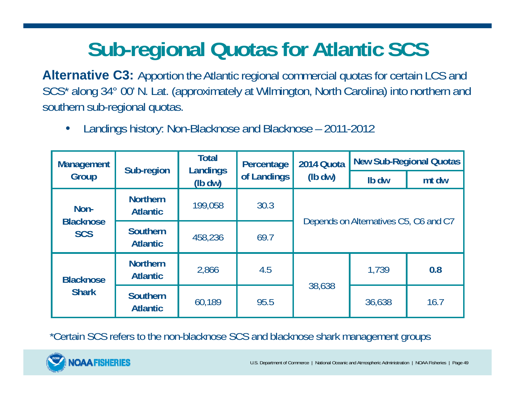## **Sub-regional Quotas for Atlantic SCS**

**Alternative C3:** Apportion the Atlantic regional commercial quotas for certain LCS and SCS\* along 34° 00' N. Lat. (approximately at Wilmington, North Carolina) into northern and southern sub-regional quotas.

•Landings history: Non-Blacknose and Blacknose – 2011-2012

| <b>Management</b>                | Sub-region                         | <b>Total</b><br>Landings<br>$(lb\,dw)$ | Percentage  | 2014 Quota                            | <b>New Sub-Regional Quotas</b> |       |  |
|----------------------------------|------------------------------------|----------------------------------------|-------------|---------------------------------------|--------------------------------|-------|--|
| Group                            |                                    |                                        | of Landings | $(lb\,dw)$                            | Ib dw                          | mt dw |  |
| Non-                             | <b>Northern</b><br><b>Atlantic</b> | 199,058                                | 30.3        |                                       |                                |       |  |
| <b>Blacknose</b><br><b>SCS</b>   | <b>Southern</b><br><b>Atlantic</b> | 458,236                                | 69.7        | Depends on Alternatives C5, C6 and C7 |                                |       |  |
| <b>Blacknose</b><br><b>Shark</b> | <b>Northern</b><br><b>Atlantic</b> | 2,866                                  | 4.5         |                                       | 1,739                          | 0.8   |  |
|                                  | <b>Southern</b><br><b>Atlantic</b> | 60,189                                 | 95.5        | 38,638                                | 36,638                         | 16.7  |  |

\*Certain SCS refers to the non-blacknose SCS and blacknose shark management groups

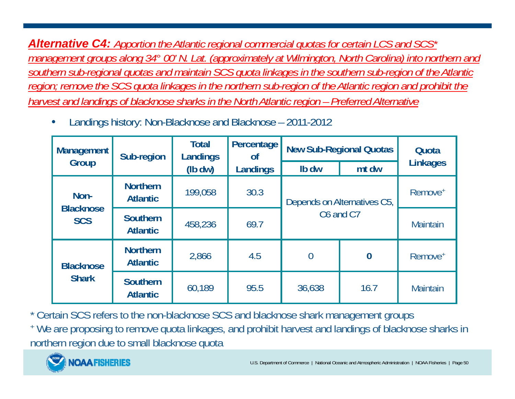*Alternative C4: Apportion the Atlantic regional commercial quotas for certain LCS and SCS\* management groups along 34° 00' N. Lat. (approximately at Wilmington, North Carolina) into northern and southern sub-regional quotas and maintain SCS quota linkages in the southern sub-region of the Atlantic region; remove the SCS quota linkages in the northern sub-region of the Atlantic region and prohibit the harvest and landings of blacknose sharks in the North Atlantic region – Preferred Alternative*

•Landings history: Non-Blacknose and Blacknose – 2011-2012

| <b>Management</b>              | Sub-region                         | <b>Total</b><br>Percentage<br>Landings<br><b>of</b> |          | <b>New Sub-Regional Quotas</b> | Quota               |                     |
|--------------------------------|------------------------------------|-----------------------------------------------------|----------|--------------------------------|---------------------|---------------------|
| Group                          |                                    | $(lb\,dw)$                                          | Landings | Ib dw                          | mt dw               | <b>Linkages</b>     |
| Non-                           | <b>Northern</b><br><b>Atlantic</b> | 199,058                                             | 30.3     | Depends on Alternatives C5,    | Remove <sup>+</sup> |                     |
| <b>Blacknose</b><br><b>SCS</b> | <b>Southern</b><br><b>Atlantic</b> | 458,236                                             | 69.7     | C6 and C7                      |                     | <b>Maintain</b>     |
| <b>Blacknose</b>               | <b>Northern</b><br><b>Atlantic</b> | 2,866                                               | 4.5      | $\overline{0}$                 | $\bf{0}$            | Remove <sup>+</sup> |
| <b>Shark</b>                   | <b>Southern</b><br><b>Atlantic</b> | 60,189                                              | 95.5     | 36,638                         | 16.7                | <b>Maintain</b>     |

\* Certain SCS refers to the non-blacknose SCS and blacknose shark management groups

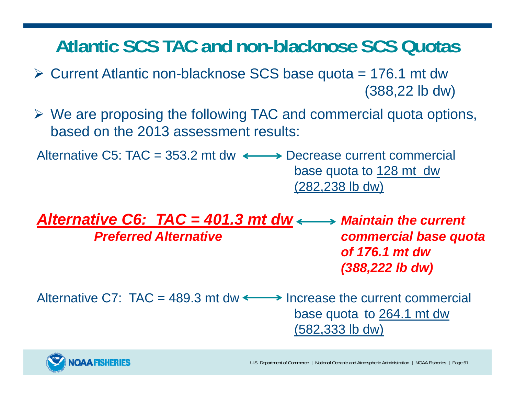### **Atlantic SCS TAC and non-blacknose SCS Quotas**

- $\triangleright$  Current Atlantic non-blacknose SCS base quota = 176.1 mt dw (388,22 lb dw)
- We are proposing the following TAC and commercial quota options, based on the 2013 assessment results:

Alternative C5: TAC = 353.2 mt dw  $\longleftrightarrow$  Decrease current commercial base quota to 128 mt dw (282,238 lb dw)

*Alternative C6: TAC = 401.3 mt dw*  $\longleftrightarrow$  *Maintain the current Preferred Alternative commercial base quota of 176.1 mt dw (388,222 lb dw)*

Alternative C7:  $TAC = 489.3$  mt dw  $\leftarrow$  > Increase the current commercial base quota to 264.1 mt dw (582,333 lb dw)

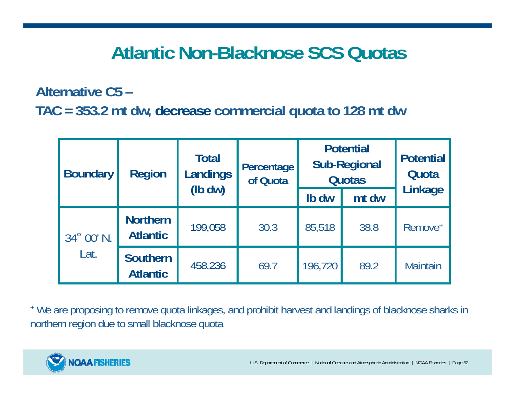### **Atlantic Non-Blacknose SCS Quotas**

**Alternative C5 –**

**TAC = 353.2 mt dw, decrease commercial quota to 128 mt dw**

| <b>Boundary</b>                                          | <b>Region</b>   | <b>Total</b><br>Landings<br>$(lb\, dw)$ | Percentage<br>of Quota | <b>Potential</b><br><b>Sub-Regional</b><br><b>Quotas</b> |       | <b>Potential</b><br>Quota |
|----------------------------------------------------------|-----------------|-----------------------------------------|------------------------|----------------------------------------------------------|-------|---------------------------|
|                                                          |                 |                                         |                        | Ib dw                                                    | mt dw | Linkage                   |
| <b>Atlantic</b><br>34° 00' N.<br>Lat.<br><b>Atlantic</b> | <b>Northern</b> | 199,058                                 | 30.3                   | 85,518                                                   | 38.8  | Remove <sup>+</sup>       |
|                                                          | <b>Southern</b> | 458,236                                 | 69.7                   | 196,720                                                  | 89.2  | <b>Maintain</b>           |

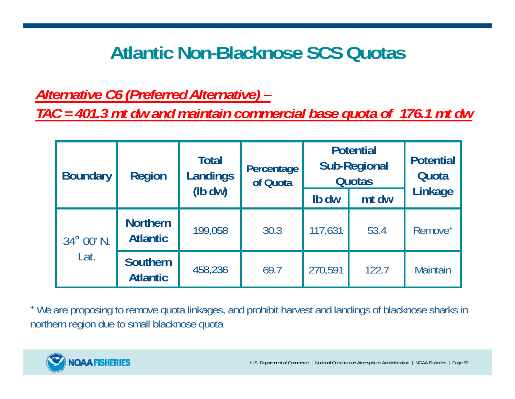### **Atlantic Non-Blacknose SCS Quotas**

*Alternative C6 (Preferred Alternative) –*

*TAC = 401.3 mt dw and maintain commercial base quota of 176.1 mt dw*

| <b>Boundary</b> | <b>Region</b>                      | <b>Total</b><br>Landings<br>$(lb\, dw)$ | Percentage<br>of Quota | <b>Potential</b><br><b>Sub-Regional</b><br><b>Quotas</b> |       | <b>Potential</b><br>Quota |
|-----------------|------------------------------------|-----------------------------------------|------------------------|----------------------------------------------------------|-------|---------------------------|
|                 |                                    |                                         |                        | Ib dw                                                    | mt dw | Linkage                   |
| 34° 00' N.      | <b>Northern</b><br><b>Atlantic</b> | 199,058                                 | 30.3                   | 117,631                                                  | 53.4  | Remove <sup>+</sup>       |
| Lat.            | Southern<br><b>Atlantic</b>        | 458,236                                 | 69.7                   | 270,591                                                  | 122.7 | <b>Maintain</b>           |

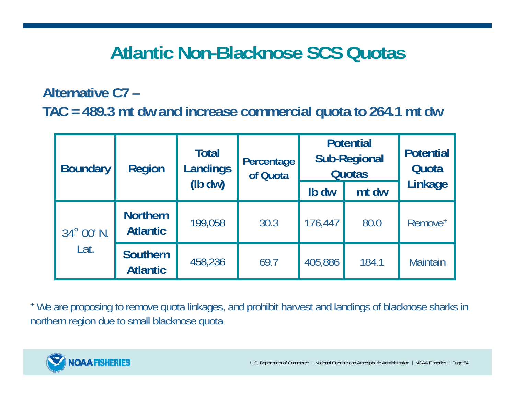### **Atlantic Non-Blacknose SCS Quotas**

**Alternative C7 –TAC = 489.3 mt dw and increase commercial quota to 264.1 mt dw**

| <b>Boundary</b> | <b>Region</b>                      | <b>Total</b><br><b>Landings</b><br>$(lb)$ dw | Percentage<br>of Quota | <b>Potential</b><br><b>Sub-Regional</b><br><b>Quotas</b> |       | <b>Potential</b><br>Quota |
|-----------------|------------------------------------|----------------------------------------------|------------------------|----------------------------------------------------------|-------|---------------------------|
|                 |                                    |                                              |                        | Ib dw                                                    | mt dw | Linkage                   |
| 34° 00' N.      | <b>Northern</b><br><b>Atlantic</b> | 199,058                                      | 30.3                   | 176,447                                                  | 80.0  | Remove <sup>+</sup>       |
| Lat.            | <b>Southern</b><br><b>Atlantic</b> | 458,236                                      | 69.7                   | 405,886                                                  | 184.1 | <b>Maintain</b>           |

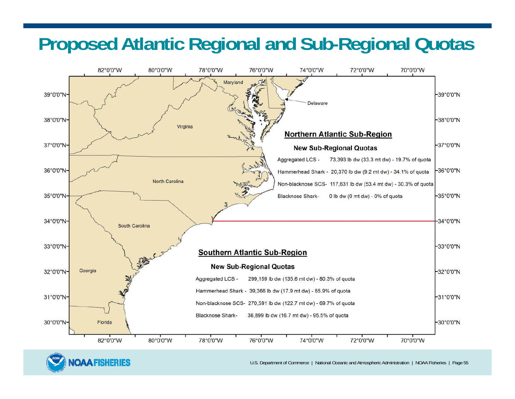### **Proposed Atlantic Regional and Sub-Regional Quotas**





U.S. Department of Commerce | National Oceanic and Atmospheric Administration | NOAA Fisheries | Page 55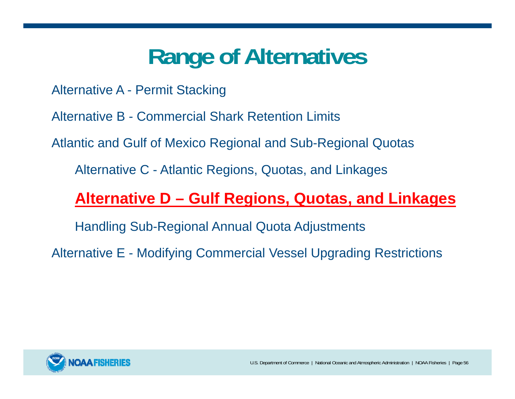# **Range of Alternatives**

Alternative A - Permit Stacking

Alternative B - Commercial Shark Retention Limits

Atlantic and Gulf of Mexico Regional and Sub-Regional Quotas

Alternative C - Atlantic Regions, Quotas, and Linkages

#### **Alternative D – Gulf Regions, Quotas, and Linkages**

Handling Sub-Regional Annual Quota Adjustments

Alternative E - Modifying Commercial Vessel Upgrading Restrictions

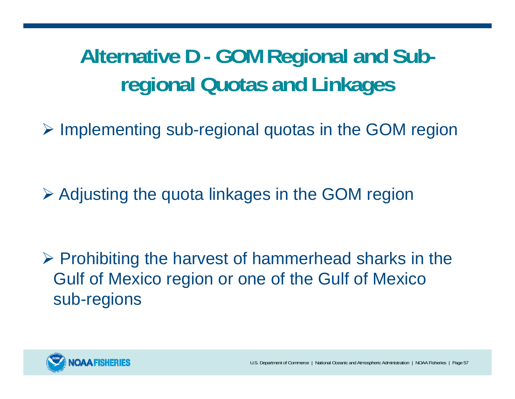## **Alternative D - GOM Regional and Subregional Quotas and Linkages**

 $\triangleright$  Implementing sub-regional quotas in the GOM region

Adjusting the quota linkages in the GOM region

 $\triangleright$  Prohibiting the harvest of hammerhead sharks in the Gulf of Mexico region or one of the Gulf of Mexico sub-regions

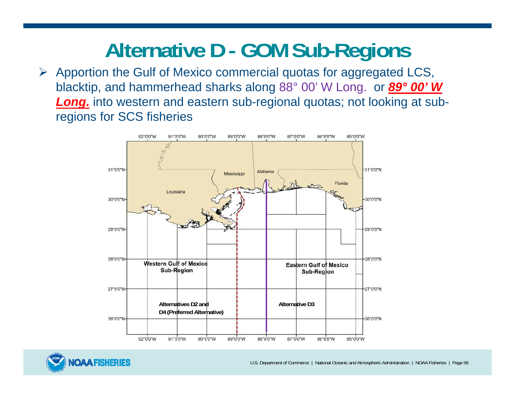## **Alternative D - GOM Sub-Regions**

 $\triangleright$  Apportion the Gulf of Mexico commercial quotas for aggregated LCS, blacktip, and hammerhead sharks along 88° 00' W Long. or *89° 00' W Long.* into western and eastern sub-regional quotas; not looking at subregions for SCS fisheries



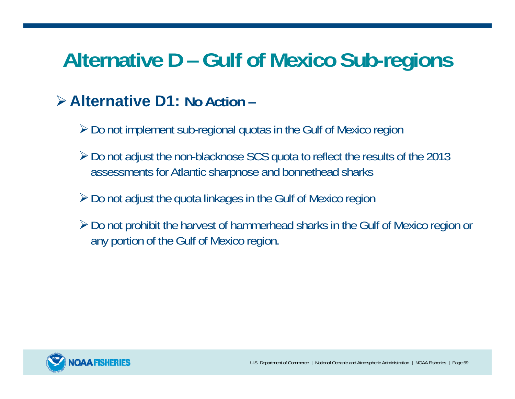## **Alternative D – Gulf of Mexico Sub-regions**

#### **Alternative D1: No Action –**

- Do not implement sub-regional quotas in the Gulf of Mexico region
- Do not adjust the non-blacknose SCS quota to reflect the results of the 2013 assessments for Atlantic sharpnose and bonnethead sharks
- $\geq$  Do not adjust the quota linkages in the Gulf of Mexico region
- Do not prohibit the harvest of hammerhead sharks in the Gulf of Mexico region or any portion of the Gulf of Mexico region.

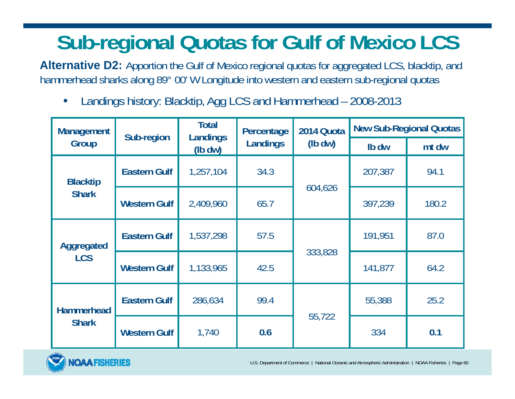## **Sub-regional Quotas for Gulf of Mexico LCS**

**Alternative D2:** Apportion the Gulf of Mexico regional quotas for aggregated LCS, blacktip, and hammerhead sharks along 89° 00' W Longitude into western and eastern sub-regional quotas

 $\bullet$ Landings history: Blacktip, Agg LCS and Hammerhead – 2008-2013

| <b>Management</b><br>Group        | Sub-region          | <b>Total</b><br>Landings | Percentage | 2014 Quota<br>$(lb\,dw)$ | <b>New Sub-Regional Quotas</b> |       |
|-----------------------------------|---------------------|--------------------------|------------|--------------------------|--------------------------------|-------|
|                                   |                     | $(lb\, dw)$              | Landings   |                          | Ib dw                          | mt dw |
| <b>Blacktip</b><br><b>Shark</b>   | <b>Eastern Gulf</b> | 1,257,104                | 34.3       | 604,626                  | 207,387                        | 94.1  |
|                                   | <b>Western Gulf</b> | 2,409,960                | 65.7       |                          | 397,239                        | 180.2 |
| Aggregated                        | <b>Eastern Gulf</b> | 1,537,298                | 57.5       | 333,828                  | 191,951                        | 87.0  |
| <b>LCS</b>                        | <b>Western Gulf</b> | 1,133,965                | 42.5       |                          | 141,877                        | 64.2  |
| <b>Hammerhead</b><br><b>Shark</b> | <b>Eastern Gulf</b> | 286,634                  | 99.4       | 55,722                   | 55,388                         | 25.2  |
|                                   | <b>Western Gulf</b> | 1,740                    | 0.6        |                          | 334                            | 0.1   |



U.S. Department of Commerce | National Oceanic and Atmospheric Administration | NOAA Fisheries | Page 60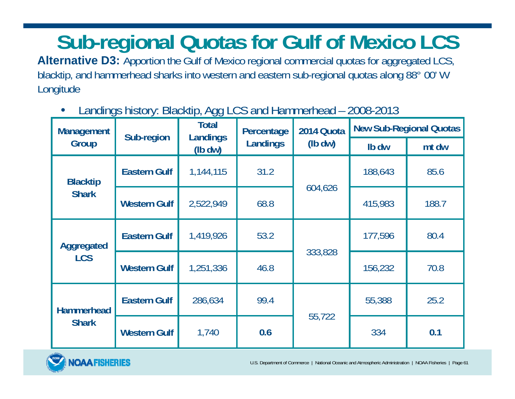## **Sub-regional Quotas for Gulf of Mexico LCS**

Alternative D3: Apportion the Gulf of Mexico regional commercial quotas for aggregated LCS, blacktip, and hammerhead sharks into western and eastern sub-regional quotas along 88° 00' W Longitude

|                                   | Landings motory. Diackup, rigg LOS and naminomodu<br>LUUU LUTU |                   |            |            |         |                                |  |
|-----------------------------------|----------------------------------------------------------------|-------------------|------------|------------|---------|--------------------------------|--|
| <b>Management</b>                 | Sub-region                                                     | Total<br>Landings | Percentage | 2014 Quota |         | <b>New Sub-Regional Quotas</b> |  |
| Group                             |                                                                | $(lb\,dw)$        | Landings   | $(lb\,dw)$ | Ib dw   | mt dw                          |  |
| <b>Blacktip</b><br><b>Shark</b>   | <b>Eastern Gulf</b>                                            | 1,144,115         | 31.2       | 604,626    | 188,643 | 85.6                           |  |
|                                   | <b>Western Gulf</b>                                            | 2,522,949         | 68.8       |            | 415,983 | 188.7                          |  |
| Aggregated<br><b>LCS</b>          | <b>Eastern Gulf</b>                                            | 1,419,926         | 53.2       | 333,828    | 177,596 | 80.4                           |  |
|                                   | <b>Western Gulf</b>                                            | 1,251,336         | 46.8       |            | 156,232 | 70.8                           |  |
| <b>Hammerhead</b><br><b>Shark</b> | <b>Eastern Gulf</b>                                            | 286,634           | 99.4       | 55,722     | 55,388  | 25.2                           |  |
|                                   | <b>Western Gulf</b>                                            | 1,740             | 0.6        |            | 334     | 0.1                            |  |

•Landings history: Blacktip, Agg LCS and Hammerhead – 2008-2013

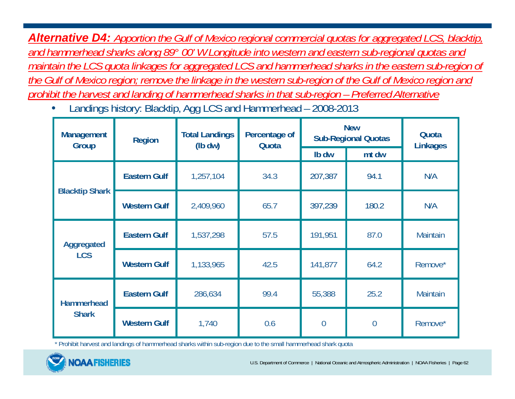*Alternative D4: Apportion the Gulf of Mexico regional commercial quotas for aggregated LCS, blacktip, and hammerhead sharks along 89° 00' W Longitude into western and eastern sub-regional quotas and maintain the LCS quota linkages for aggregated LCS and hammerhead sharks in the eastern sub-region of the Gulf of Mexico region; remove the linkage in the western sub-region of the Gulf of Mexico region and prohibit the harvest and landing of hammerhead sharks in that sub-region – Preferred Alternative* 

•Landings history: Blacktip, Agg LCS and Hammerhead – 2008-2013

| <b>Management</b><br>Group        | <b>Region</b>       | <b>Total Landings</b><br>$(lb \, dw)$ | Percentage of<br>Quota | <b>New</b><br><b>Sub-Regional Quotas</b> |                | Quota<br><b>Linkages</b> |
|-----------------------------------|---------------------|---------------------------------------|------------------------|------------------------------------------|----------------|--------------------------|
|                                   |                     |                                       |                        | Ib dw                                    | mt dw          |                          |
| <b>Blacktip Shark</b>             | <b>Eastern Gulf</b> | 1,257,104                             | 34.3                   | 207,387                                  | 94.1           | N/A                      |
|                                   | <b>Western Gulf</b> | 2,409,960                             | 65.7                   | 397,239                                  | 180.2          | N/A                      |
| Aggregated                        | <b>Eastern Gulf</b> | 1,537,298                             | 57.5                   | 191,951                                  | 87.0           | <b>Maintain</b>          |
| <b>LCS</b>                        | <b>Western Gulf</b> | 1,133,965                             | 42.5                   | 141,877                                  | 64.2           | Remove*                  |
| <b>Hammerhead</b><br><b>Shark</b> | <b>Eastern Gulf</b> | 286,634                               | 99.4                   | 55,388                                   | 25.2           | <b>Maintain</b>          |
|                                   | <b>Western Gulf</b> | 1,740                                 | 0.6                    | $\overline{0}$                           | $\overline{0}$ | Remove*                  |

\* Prohibit harvest and landings of hammerhead sharks within sub-region due to the small hammerhead shark quota

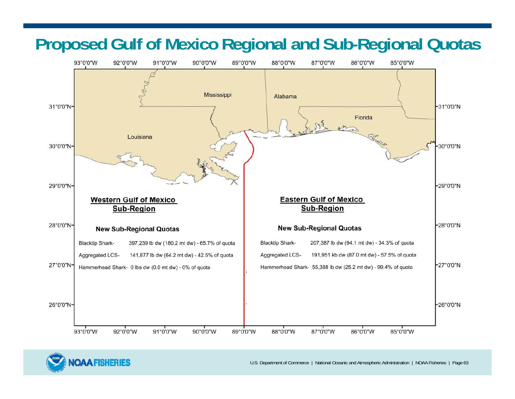### **Proposed Gulf of Mexico Regional and Sub-Regional Quotas**





U.S. Department of Commerce | National Oceanic and Atmospheric Administration | NOAA Fisheries | Page 63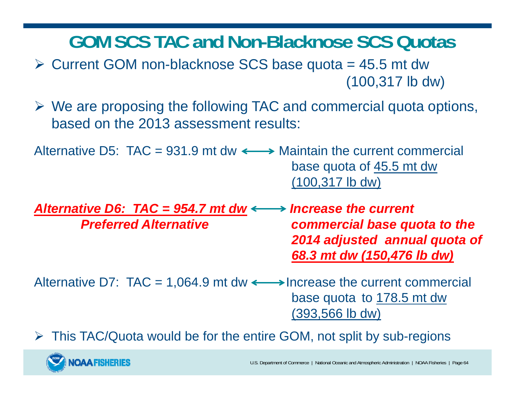**GOM SCS TAC and Non-Blacknose SCS Quotas**

- $\triangleright$  Current GOM non-blacknose SCS base quota = 45.5 mt dw (100,317 lb dw)
- We are proposing the following TAC and commercial quota options, based on the 2013 assessment results:

Alternative D5: TAC = 931.9 mt dw  $\longleftrightarrow$  Maintain the current commercial base quota of 45.5 mt dw (100,317 lb dw)

*Alternative D6: TAC = 954.7 mt dw Increase the current Preferred Alternative commercial base quota to the 2014 adjusted annual quota of 68.3 mt dw (150,476 lb dw)*

Alternative D7:  $TAC = 1,064.9$  mt dw  $\longleftrightarrow$  Increase the current commercial base quota to 178.5 mt dw (393,566 lb dw)

This TAC/Quota would be for the entire GOM, not split by sub-regions

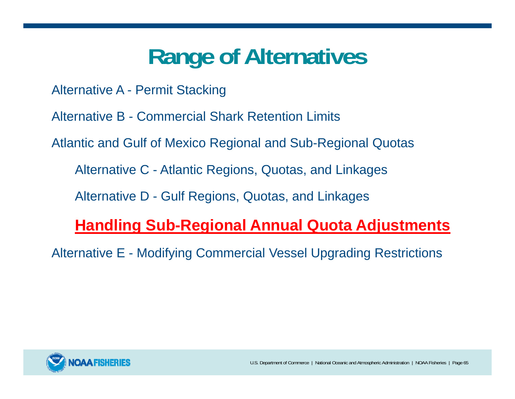# **Range of Alternatives**

Alternative A - Permit Stacking

Alternative B - Commercial Shark Retention Limits

Atlantic and Gulf of Mexico Regional and Sub-Regional Quotas

Alternative C - Atlantic Regions, Quotas, and Linkages

Alternative D - Gulf Regions, Quotas, and Linkages

#### **Handling Sub-Regional Annual Quota Adjustments**

Alternative E - Modifying Commercial Vessel Upgrading Restrictions

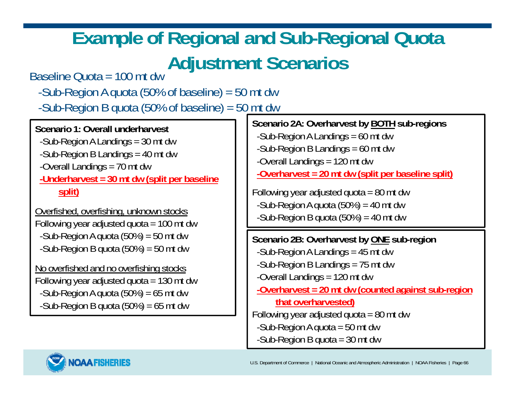### **Example of Regional and Sub-Regional Quota Adjustment Scenarios**

Baseline Quota = 100 mt dw

-Sub-Region A quota (50% of baseline) = 50 mt dw -Sub-Region B quota (50% of baseline) = 50 mt dw

**Scenario 1: Overall underharvest**-Sub-Region A Landings = 30 mt dw -Sub-Region B Landings = 40 mt dw -Overall Landings = 70 mt dw **-Underharvest = 30 mt dw (split per baseline split)** Overfished, overfishing, unknown stocks Following year adjusted quota = 100 mt dw -Sub-Region A quota  $(50\%) = 50$  mt dw -Sub-Region B quota  $(50\%) = 50$  mt dw No overfished and no overfishing stocks Following year adjusted quota  $= 130$  mt dw -Sub-Region A quota  $(50\%) = 65$  mt dw -Sub-Region B quota  $(50\%) = 65$  mt dw **Scenario 2A: Overharvest by BOTH sub-regions** -Sub-Region A Landings = 60 mt dw -Sub-Region B Landings = 60 mt dw -Overall Landings = 120 mt dw **-Overharvest = 20 mt dw (split per baseline split)** Following year adjusted quota  $= 80$  mt dw -Sub-Region A quota  $(50\%) = 40$  mt dw -Sub-Region B quota  $(50\%) = 40$  mt dw **Scenario 2B: Overharvest by ONE sub-region** -Sub-Region A Landings = 45 mt dw -Sub-Region B Landings = 75 mt dw -Overall Landings = 120 mt dw **-Overharvest = 20 mt dw (counted against sub-region that overharvested)** Following year adjusted quota =  $80$  mt dw -Sub-Region A quota = 50 mt dw

-Sub-Region B quota = 30 mt dw

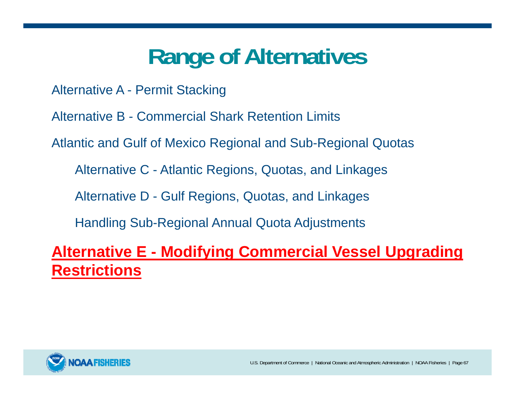# **Range of Alternatives**

Alternative A - Permit Stacking

Alternative B - Commercial Shark Retention Limits

Atlantic and Gulf of Mexico Regional and Sub-Regional Quotas

Alternative C - Atlantic Regions, Quotas, and Linkages

Alternative D - Gulf Regions, Quotas, and Linkages

Handling Sub-Regional Annual Quota Adjustments

**Alternative E - Modifying Commercial Vessel Upgrading Restrictions**

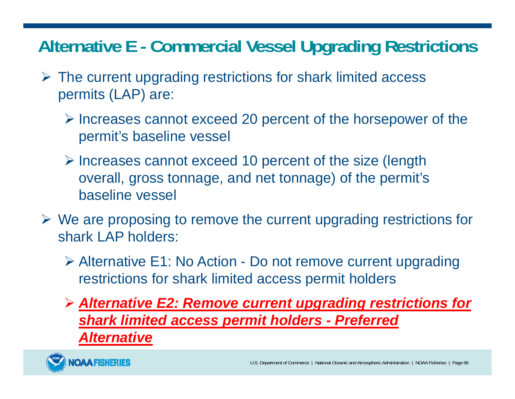### **Alternative E - Commercial Vessel Upgrading Restrictions**

- $\triangleright$  The current upgrading restrictions for shark limited access permits (LAP) are:
	- $\triangleright$  Increases cannot exceed 20 percent of the horsepower of the permit's baseline vessel
	- $\triangleright$  Increases cannot exceed 10 percent of the size (length overall, gross tonnage, and net tonnage) of the permit's baseline vessel
- $\triangleright$  We are proposing to remove the current upgrading restrictions for shark LAP holders:
	- Alternative E1: No Action Do not remove current upgrading restrictions for shark limited access permit holders
	- *Alternative E2: Remove current upgrading restrictions for shark limited access permit holders - Preferred Alternative*

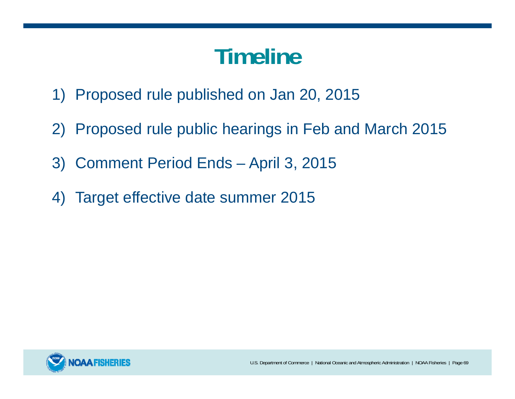# **Timeline**

- 1) Proposed rule published on Jan 20, 2015
- 2) Proposed rule public hearings in Feb and March 2015
- 3) Comment Period Ends April 3, 2015
- 4) Target effective date summer 2015

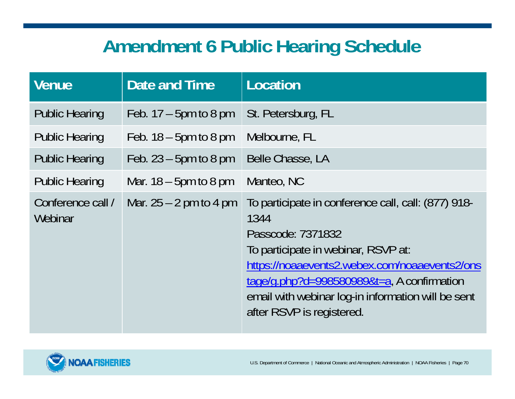### **Amendment 6 Public Hearing Schedule**

| <b>Venue</b>                 | Date and Time            | Location                                                                                                                                                                                                                                                                                                  |
|------------------------------|--------------------------|-----------------------------------------------------------------------------------------------------------------------------------------------------------------------------------------------------------------------------------------------------------------------------------------------------------|
| <b>Public Hearing</b>        | Feb. $17 - 5$ pm to 8 pm | St. Petersburg, FL                                                                                                                                                                                                                                                                                        |
| <b>Public Hearing</b>        | Feb. $18 - 5$ pm to 8 pm | Melbourne, FL                                                                                                                                                                                                                                                                                             |
| <b>Public Hearing</b>        | Feb. $23 - 5$ pm to 8 pm | Belle Chasse, LA                                                                                                                                                                                                                                                                                          |
| <b>Public Hearing</b>        | Mar. $18 - 5$ pm to 8 pm | Manteo, NC                                                                                                                                                                                                                                                                                                |
| Conference call /<br>Webinar | Mar. $25 - 2$ pm to 4 pm | To participate in conference call, call: (877) 918-<br>1344<br>Passcode: 7371832<br>To participate in webinar, RSVP at:<br>https://noaaevents2.webex.com/noaaevents2/ons<br>tage/g.php?d=998580989&t=a, A confirmation<br>email with webinar log-in information will be sent<br>after RSVP is registered. |

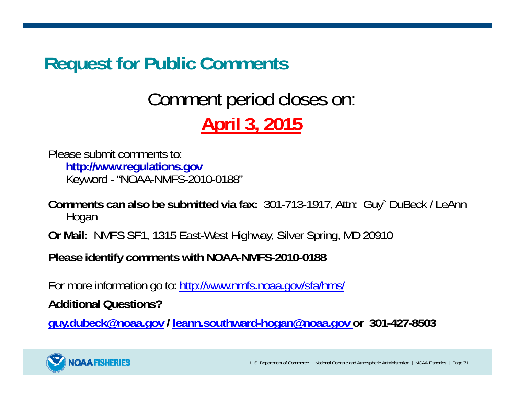### **Request for Public Comments**

### Comment period closes on: **April 3, 2015**

Please submit comments to:**http://www.regulations.gov** Keyword - "NOAA-NMFS-2010-0188"

**Comments can also be submitted via fax:** 301-713-1917, Attn: Guy` DuBeck / LeAnn Hogan

**Or Mail:** NMFS SF1, 1315 East-West Highway, Silver Spring, MD 20910

**Please identify comments with NOAA-NMFS-2010-0188**

For more information go to: http://www.nmfs.noaa.gov/sfa/hms/

**Additional Questions?**

**guy.dubeck@noaa.gov / leann.southward-hogan@noaa.gov or 301-427-8503**